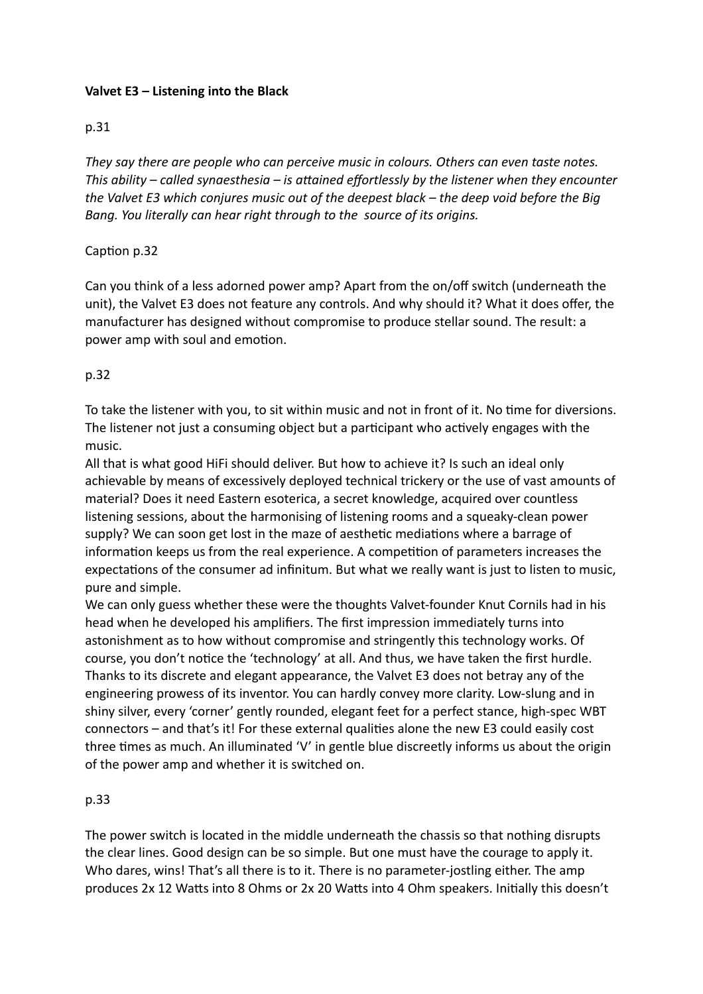## **Valvet E3 – Listening into the Black**

## p.31

*They say there are people who can perceive music in colours. Others can even taste notes. This ability – called synaesthesia – is attained effortlessly by the listener when they encounter the Valvet E3 which conjures music out of the deepest black – the deep void before the Big Bang. You literally can hear right through to the source of its origins.*

#### Caption p.32

Can you think of a less adorned power amp? Apart from the on/off switch (underneath the unit), the Valvet E3 does not feature any controls. And why should it? What it does offer, the manufacturer has designed without compromise to produce stellar sound. The result: a power amp with soul and emotion.

# p.32

To take the listener with you, to sit within music and not in front of it. No time for diversions. The listener not just a consuming object but a participant who actively engages with the music.

All that is what good HiFi should deliver. But how to achieve it? Is such an ideal only achievable by means of excessively deployed technical trickery or the use of vast amounts of material? Does it need Eastern esoterica, a secret knowledge, acquired over countless listening sessions, about the harmonising of listening rooms and a squeaky-clean power supply? We can soon get lost in the maze of aesthetic mediations where a barrage of information keeps us from the real experience. A competition of parameters increases the expectations of the consumer ad infinitum. But what we really want is just to listen to music, pure and simple.

We can only guess whether these were the thoughts Valvet-founder Knut Cornils had in his head when he developed his amplifiers. The first impression immediately turns into astonishment as to how without compromise and stringently this technology works. Of course, you don't notice the 'technology' at all. And thus, we have taken the first hurdle. Thanks to its discrete and elegant appearance, the Valvet E3 does not betray any of the engineering prowess of its inventor. You can hardly convey more clarity. Low-slung and in shiny silver, every 'corner' gently rounded, elegant feet for a perfect stance, high-spec WBT connectors – and that's it! For these external qualities alone the new E3 could easily cost three times as much. An illuminated 'V' in gentle blue discreetly informs us about the origin of the power amp and whether it is switched on.

#### p.33

The power switch is located in the middle underneath the chassis so that nothing disrupts the clear lines. Good design can be so simple. But one must have the courage to apply it. Who dares, wins! That's all there is to it. There is no parameter-jostling either. The amp produces 2x 12 Watts into 8 Ohms or 2x 20 Watts into 4 Ohm speakers. Initially this doesn't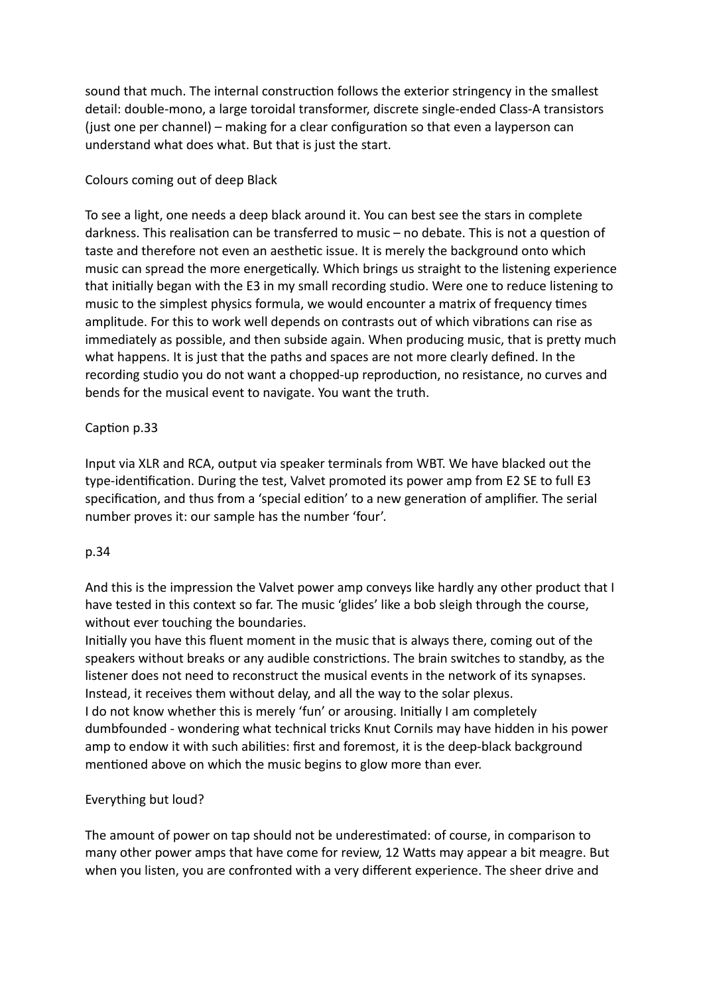sound that much. The internal construction follows the exterior stringency in the smallest detail: double-mono, a large toroidal transformer, discrete single-ended Class-A transistors (just one per channel) – making for a clear configuration so that even a layperson can understand what does what. But that is just the start.

## Colours coming out of deep Black

To see a light, one needs a deep black around it. You can best see the stars in complete darkness. This realisation can be transferred to music – no debate. This is not a question of taste and therefore not even an aesthetic issue. It is merely the background onto which music can spread the more energetically. Which brings us straight to the listening experience that initially began with the E3 in my small recording studio. Were one to reduce listening to music to the simplest physics formula, we would encounter a matrix of frequency times amplitude. For this to work well depends on contrasts out of which vibrations can rise as immediately as possible, and then subside again. When producing music, that is pretty much what happens. It is just that the paths and spaces are not more clearly defined. In the recording studio you do not want a chopped-up reproduction, no resistance, no curves and bends for the musical event to navigate. You want the truth.

# Caption p.33

Input via XLR and RCA, output via speaker terminals from WBT. We have blacked out the type-identification. During the test, Valvet promoted its power amp from E2 SE to full E3 specification, and thus from a 'special edition' to a new generation of amplifier. The serial number proves it: our sample has the number 'four'.

#### p.34

And this is the impression the Valvet power amp conveys like hardly any other product that I have tested in this context so far. The music 'glides' like a bob sleigh through the course, without ever touching the boundaries.

Initially you have this fluent moment in the music that is always there, coming out of the speakers without breaks or any audible constrictions. The brain switches to standby, as the listener does not need to reconstruct the musical events in the network of its synapses. Instead, it receives them without delay, and all the way to the solar plexus. I do not know whether this is merely 'fun' or arousing. Initially I am completely dumbfounded - wondering what technical tricks Knut Cornils may have hidden in his power amp to endow it with such abilities: first and foremost, it is the deep-black background mentioned above on which the music begins to glow more than ever.

# Everything but loud?

The amount of power on tap should not be underestimated: of course, in comparison to many other power amps that have come for review, 12 Watts may appear a bit meagre. But when you listen, you are confronted with a very different experience. The sheer drive and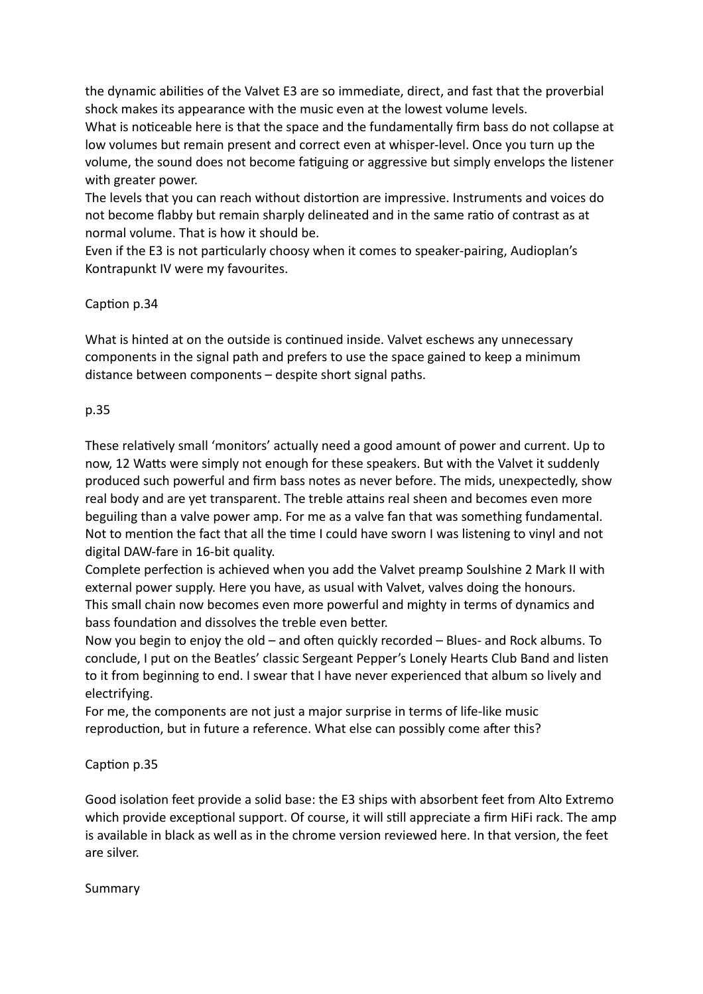the dynamic abilities of the Valvet E3 are so immediate, direct, and fast that the proverbial shock makes its appearance with the music even at the lowest volume levels.

What is noticeable here is that the space and the fundamentally firm bass do not collapse at low volumes but remain present and correct even at whisper-level. Once you turn up the volume, the sound does not become fatiguing or aggressive but simply envelops the listener with greater power.

The levels that you can reach without distortion are impressive. Instruments and voices do not become flabby but remain sharply delineated and in the same ratio of contrast as at normal volume. That is how it should be.

Even if the E3 is not particularly choosy when it comes to speaker-pairing, Audioplan's Kontrapunkt IV were my favourites.

#### Caption p.34

What is hinted at on the outside is continued inside. Valvet eschews any unnecessary components in the signal path and prefers to use the space gained to keep a minimum distance between components – despite short signal paths.

#### p.35

These relatively small 'monitors' actually need a good amount of power and current. Up to now, 12 Watts were simply not enough for these speakers. But with the Valvet it suddenly produced such powerful and firm bass notes as never before. The mids, unexpectedly, show real body and are yet transparent. The treble attains real sheen and becomes even more beguiling than a valve power amp. For me as a valve fan that was something fundamental. Not to mention the fact that all the time I could have sworn I was listening to vinyl and not digital DAW-fare in 16-bit quality.

Complete perfection is achieved when you add the Valvet preamp Soulshine 2 Mark II with external power supply. Here you have, as usual with Valvet, valves doing the honours. This small chain now becomes even more powerful and mighty in terms of dynamics and bass foundation and dissolves the treble even better.

Now you begin to enjoy the old – and often quickly recorded – Blues- and Rock albums. To conclude, I put on the Beatles' classic Sergeant Pepper's Lonely Hearts Club Band and listen to it from beginning to end. I swear that I have never experienced that album so lively and electrifying.

For me, the components are not just a major surprise in terms of life-like music reproduction, but in future a reference. What else can possibly come after this?

#### Caption p.35

Good isolation feet provide a solid base: the E3 ships with absorbent feet from Alto Extremo which provide exceptional support. Of course, it will still appreciate a firm HiFi rack. The amp is available in black as well as in the chrome version reviewed here. In that version, the feet are silver.

#### Summary